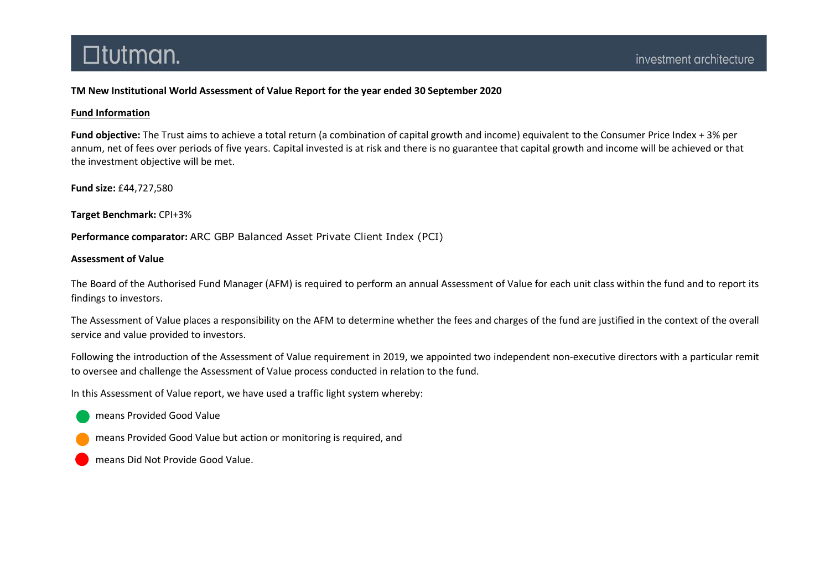### TM New Institutional World Assessment of Value Report for the year ended 30 September 2020

### Fund Information

Fund objective: The Trust aims to achieve a total return (a combination of capital growth and income) equivalent to the Consumer Price Index + 3% per annum, net of fees over periods of five years. Capital invested is at risk and there is no guarantee that capital growth and income will be achieved or that the investment objective will be met.

Fund size: £44,727,580

Target Benchmark: CPI+3%

Performance comparator: ARC GBP Balanced Asset Private Client Index (PCI)

#### Assessment of Value

The Board of the Authorised Fund Manager (AFM) is required to perform an annual Assessment of Value for each unit class within the fund and to report its findings to investors.

The Assessment of Value places a responsibility on the AFM to determine whether the fees and charges of the fund are justified in the context of the overall service and value provided to investors.

Following the introduction of the Assessment of Value requirement in 2019, we appointed two independent non-executive directors with a particular remit to oversee and challenge the Assessment of Value process conducted in relation to the fund.

In this Assessment of Value report, we have used a traffic light system whereby:

means Provided Good Value

means Provided Good Value but action or monitoring is required, and

means Did Not Provide Good Value.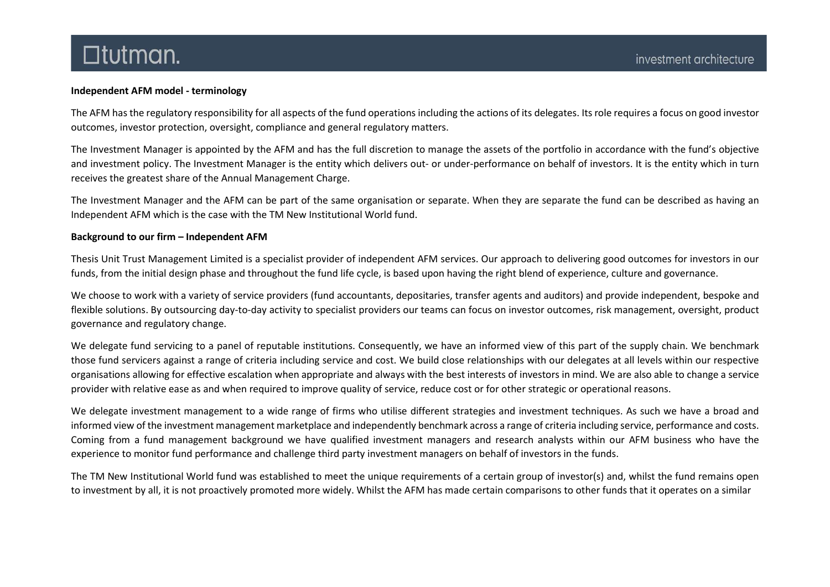### Independent AFM model - terminology

The AFM has the regulatory responsibility for all aspects of the fund operations including the actions of its delegates. Its role requires a focus on good investor outcomes, investor protection, oversight, compliance and general regulatory matters.

The Investment Manager is appointed by the AFM and has the full discretion to manage the assets of the portfolio in accordance with the fund's objective and investment policy. The Investment Manager is the entity which delivers out- or under-performance on behalf of investors. It is the entity which in turn receives the greatest share of the Annual Management Charge.

The Investment Manager and the AFM can be part of the same organisation or separate. When they are separate the fund can be described as having an Independent AFM which is the case with the TM New Institutional World fund.

### Background to our firm – Independent AFM

Thesis Unit Trust Management Limited is a specialist provider of independent AFM services. Our approach to delivering good outcomes for investors in our funds, from the initial design phase and throughout the fund life cycle, is based upon having the right blend of experience, culture and governance.

We choose to work with a variety of service providers (fund accountants, depositaries, transfer agents and auditors) and provide independent, bespoke and flexible solutions. By outsourcing day-to-day activity to specialist providers our teams can focus on investor outcomes, risk management, oversight, product governance and regulatory change.

We delegate fund servicing to a panel of reputable institutions. Consequently, we have an informed view of this part of the supply chain. We benchmark those fund servicers against a range of criteria including service and cost. We build close relationships with our delegates at all levels within our respective organisations allowing for effective escalation when appropriate and always with the best interests of investors in mind. We are also able to change a service provider with relative ease as and when required to improve quality of service, reduce cost or for other strategic or operational reasons.

We delegate investment management to a wide range of firms who utilise different strategies and investment techniques. As such we have a broad and informed view of the investment management marketplace and independently benchmark across a range of criteria including service, performance and costs. Coming from a fund management background we have qualified investment managers and research analysts within our AFM business who have the experience to monitor fund performance and challenge third party investment managers on behalf of investors in the funds.

The TM New Institutional World fund was established to meet the unique requirements of a certain group of investor(s) and, whilst the fund remains open to investment by all, it is not proactively promoted more widely. Whilst the AFM has made certain comparisons to other funds that it operates on a similar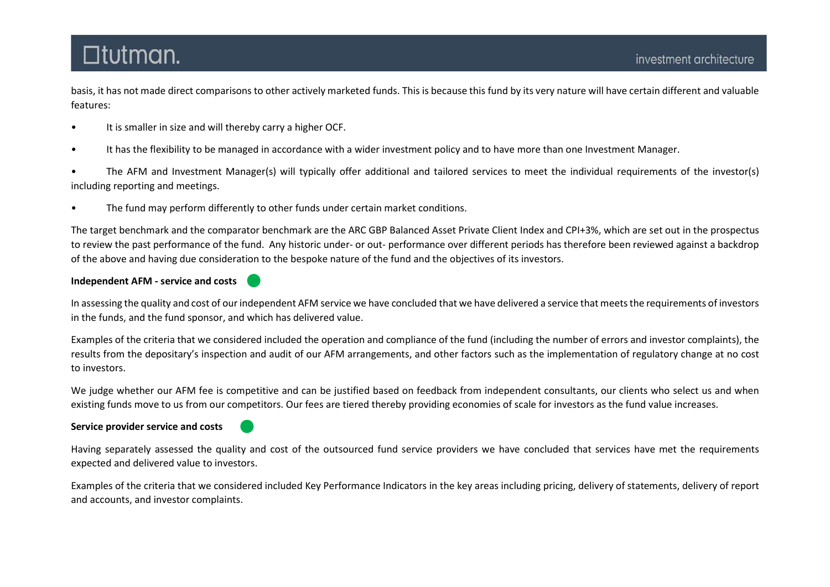basis, it has not made direct comparisons to other actively marketed funds. This is because this fund by its very nature will have certain different and valuable features:

- It is smaller in size and will thereby carry a higher OCF.
- It has the flexibility to be managed in accordance with a wider investment policy and to have more than one Investment Manager.
- The AFM and Investment Manager(s) will typically offer additional and tailored services to meet the individual requirements of the investor(s) including reporting and meetings.
- The fund may perform differently to other funds under certain market conditions.

The target benchmark and the comparator benchmark are the ARC GBP Balanced Asset Private Client Index and CPI+3%, which are set out in the prospectus to review the past performance of the fund. Any historic under- or out- performance over different periods has therefore been reviewed against a backdrop of the above and having due consideration to the bespoke nature of the fund and the objectives of its investors.

## Independent AFM - service and costs

In assessing the quality and cost of our independent AFM service we have concluded that we have delivered a service that meets the requirements of investors in the funds, and the fund sponsor, and which has delivered value.

Examples of the criteria that we considered included the operation and compliance of the fund (including the number of errors and investor complaints), the results from the depositary's inspection and audit of our AFM arrangements, and other factors such as the implementation of regulatory change at no cost to investors.

We judge whether our AFM fee is competitive and can be justified based on feedback from independent consultants, our clients who select us and when existing funds move to us from our competitors. Our fees are tiered thereby providing economies of scale for investors as the fund value increases.

## Service provider service and costs

Having separately assessed the quality and cost of the outsourced fund service providers we have concluded that services have met the requirements expected and delivered value to investors.

Examples of the criteria that we considered included Key Performance Indicators in the key areas including pricing, delivery of statements, delivery of report and accounts, and investor complaints.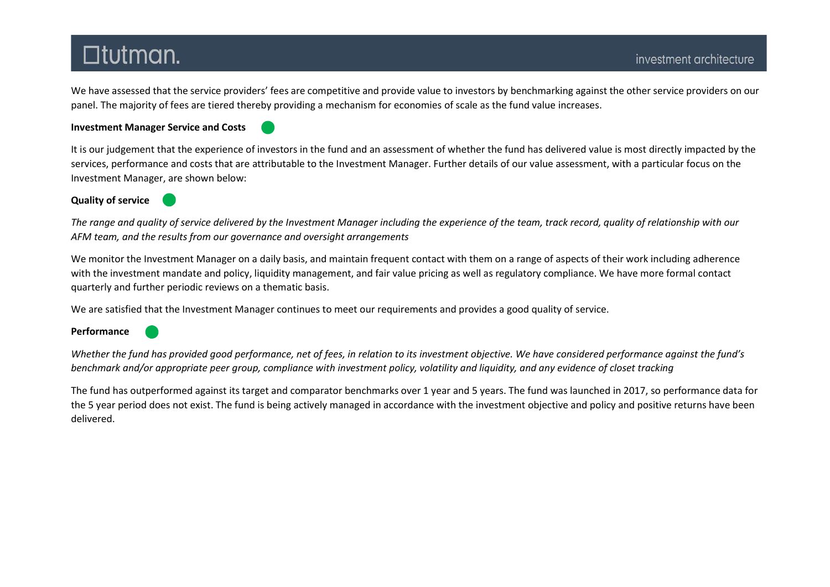We have assessed that the service providers' fees are competitive and provide value to investors by benchmarking against the other service providers on our panel. The majority of fees are tiered thereby providing a mechanism for economies of scale as the fund value increases.

#### Investment Manager Service and Costs



It is our judgement that the experience of investors in the fund and an assessment of whether the fund has delivered value is most directly impacted by the services, performance and costs that are attributable to the Investment Manager. Further details of our value assessment, with a particular focus on the Investment Manager, are shown below:

### Quality of service

The range and quality of service delivered by the Investment Manager including the experience of the team, track record, quality of relationship with our AFM team, and the results from our governance and oversight arrangements

We monitor the Investment Manager on a daily basis, and maintain frequent contact with them on a range of aspects of their work including adherence with the investment mandate and policy, liquidity management, and fair value pricing as well as regulatory compliance. We have more formal contact quarterly and further periodic reviews on a thematic basis.

We are satisfied that the Investment Manager continues to meet our requirements and provides a good quality of service.

Performance

Whether the fund has provided good performance, net of fees, in relation to its investment objective. We have considered performance against the fund's benchmark and/or appropriate peer group, compliance with investment policy, volatility and liquidity, and any evidence of closet tracking

The fund has outperformed against its target and comparator benchmarks over 1 year and 5 years. The fund was launched in 2017, so performance data for the 5 year period does not exist. The fund is being actively managed in accordance with the investment objective and policy and positive returns have been delivered.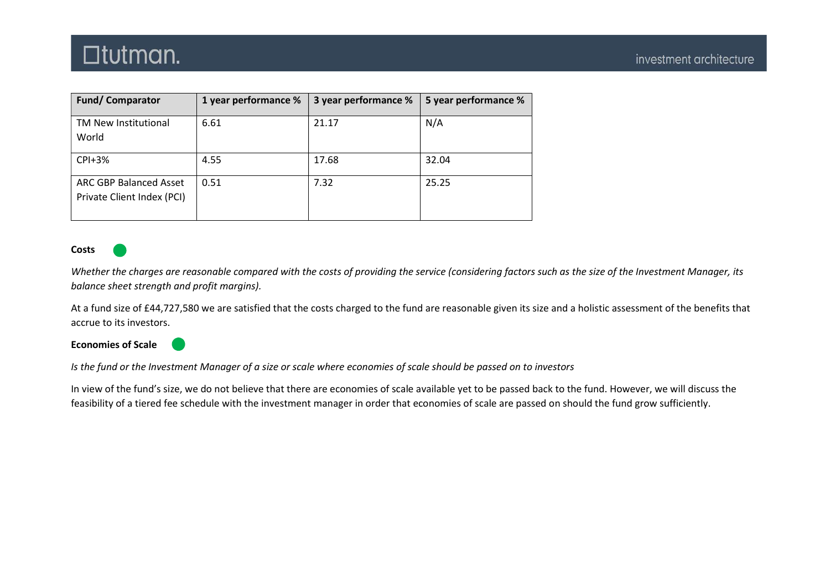| <b>Fund/Comparator</b>                               | 1 year performance % | 3 year performance % | 5 year performance % |
|------------------------------------------------------|----------------------|----------------------|----------------------|
| TM New Institutional<br>World                        | 6.61                 | 21.17                | N/A                  |
| $CPI + 3%$                                           | 4.55                 | 17.68                | 32.04                |
| ARC GBP Balanced Asset<br>Private Client Index (PCI) | 0.51                 | 7.32                 | 25.25                |

#### Costs

Whether the charges are reasonable compared with the costs of providing the service (considering factors such as the size of the Investment Manager, its balance sheet strength and profit margins).

At a fund size of £44,727,580 we are satisfied that the costs charged to the fund are reasonable given its size and a holistic assessment of the benefits that accrue to its investors.

Economies of Scale



Is the fund or the Investment Manager of a size or scale where economies of scale should be passed on to investors

In view of the fund's size, we do not believe that there are economies of scale available yet to be passed back to the fund. However, we will discuss the feasibility of a tiered fee schedule with the investment manager in order that economies of scale are passed on should the fund grow sufficiently.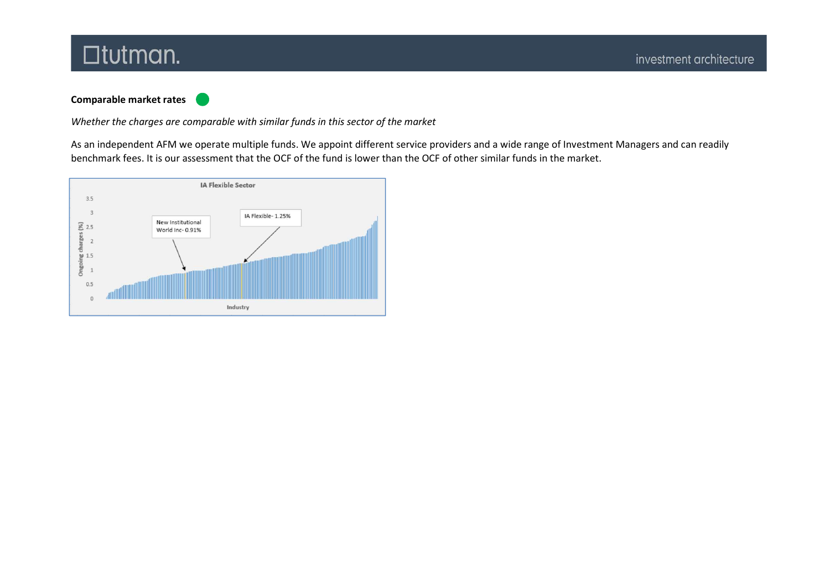## Comparable market rates

Whether the charges are comparable with similar funds in this sector of the market

As an independent AFM we operate multiple funds. We appoint different service providers and a wide range of Investment Managers and can readily benchmark fees. It is our assessment that the OCF of the fund is lower than the OCF of other similar funds in the market.